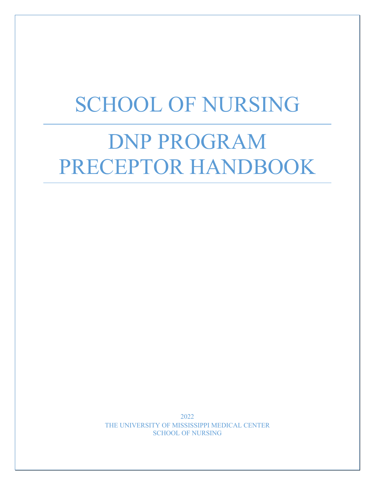## SCHOOL OF NURSING

# DNP PROGRAM PRECEPTOR HANDBOOK

2022 THE UNIVERSITY OF MISSISSIPPI MEDICAL CENTER SCHOOL OF NURSING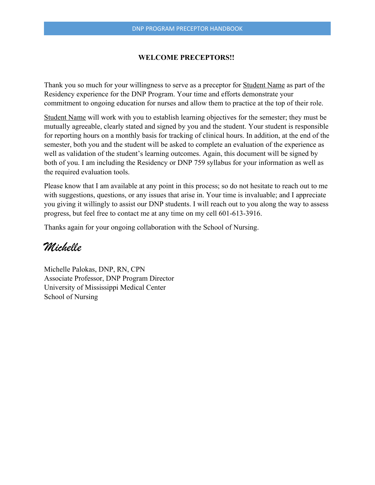#### **WELCOME PRECEPTORS!!**

Thank you so much for your willingness to serve as a preceptor for **Student Name** as part of the Residency experience for the DNP Program. Your time and efforts demonstrate your commitment to ongoing education for nurses and allow them to practice at the top of their role.

Student Name will work with you to establish learning objectives for the semester; they must be mutually agreeable, clearly stated and signed by you and the student. Your student is responsible for reporting hours on a monthly basis for tracking of clinical hours. In addition, at the end of the semester, both you and the student will be asked to complete an evaluation of the experience as well as validation of the student's learning outcomes. Again, this document will be signed by both of you. I am including the Residency or DNP 759 syllabus for your information as well as the required evaluation tools.

Please know that I am available at any point in this process; so do not hesitate to reach out to me with suggestions, questions, or any issues that arise in. Your time is invaluable; and I appreciate you giving it willingly to assist our DNP students. I will reach out to you along the way to assess progress, but feel free to contact me at any time on my cell 601-613-3916.

Thanks again for your ongoing collaboration with the School of Nursing.

## *Michelle*

Michelle Palokas, DNP, RN, CPN Associate Professor, DNP Program Director University of Mississippi Medical Center School of Nursing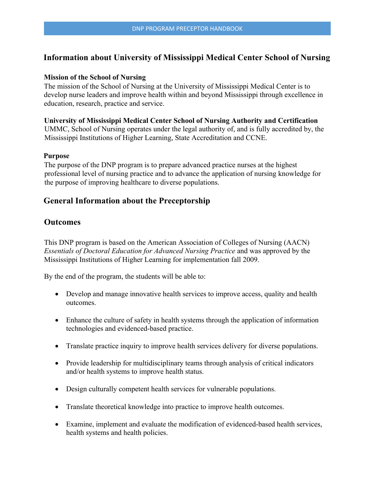## **Information about University of Mississippi Medical Center School of Nursing**

#### **Mission of the School of Nursing**

The mission of the School of Nursing at the University of Mississippi Medical Center is to develop nurse leaders and improve health within and beyond Mississippi through excellence in education, research, practice and service.

**University of Mississippi Medical Center School of Nursing Authority and Certification**  UMMC, School of Nursing operates under the legal authority of, and is fully accredited by, the Mississippi Institutions of Higher Learning, State Accreditation and CCNE.

#### **Purpose**

The purpose of the DNP program is to prepare advanced practice nurses at the highest professional level of nursing practice and to advance the application of nursing knowledge for the purpose of improving healthcare to diverse populations.

## **General Information about the Preceptorship**

## **Outcomes**

This DNP program is based on the American Association of Colleges of Nursing (AACN) *Essentials of Doctoral Education for Advanced Nursing Practice* and was approved by the Mississippi Institutions of Higher Learning for implementation fall 2009.

By the end of the program, the students will be able to:

- Develop and manage innovative health services to improve access, quality and health outcomes.
- Enhance the culture of safety in health systems through the application of information technologies and evidenced-based practice.
- Translate practice inquiry to improve health services delivery for diverse populations.
- Provide leadership for multidisciplinary teams through analysis of critical indicators and/or health systems to improve health status.
- Design culturally competent health services for vulnerable populations.
- Translate theoretical knowledge into practice to improve health outcomes.
- Examine, implement and evaluate the modification of evidenced-based health services, health systems and health policies.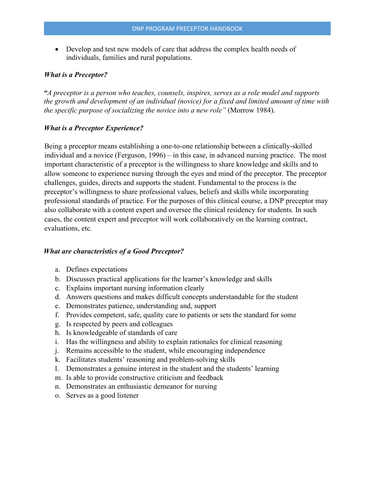• Develop and test new models of care that address the complex health needs of individuals, families and rural populations.

#### *What is a Preceptor?*

*"A preceptor is a person who teaches, counsels, inspires, serves as a role model and supports the growth and development of an individual (novice) for a fixed and limited amount of time with the specific purpose of socializing the novice into a new role"* (Morrow 1984).

#### *What is a Preceptor Experience?*

Being a preceptor means establishing a one-to-one relationship between a clinically-skilled individual and a novice (Ferguson, 1996) – in this case, in advanced nursing practice. The most important characteristic of a preceptor is the willingness to share knowledge and skills and to allow someone to experience nursing through the eyes and mind of the preceptor. The preceptor challenges, guides, directs and supports the student. Fundamental to the process is the preceptor's willingness to share professional values, beliefs and skills while incorporating professional standards of practice. For the purposes of this clinical course, a DNP preceptor may also collaborate with a content expert and oversee the clinical residency for students. In such cases, the content expert and preceptor will work collaboratively on the learning contract, evaluations, etc.

#### *What are characteristics of a Good Preceptor?*

- a. Defines expectations
- b. Discusses practical applications for the learner's knowledge and skills
- c. Explains important nursing information clearly
- d. Answers questions and makes difficult concepts understandable for the student
- e. Demonstrates patience, understanding and, support
- f. Provides competent, safe, quality care to patients or sets the standard for some
- g. Is respected by peers and colleagues
- h. Is knowledgeable of standards of care
- i. Has the willingness and ability to explain rationales for clinical reasoning
- j. Remains accessible to the student, while encouraging independence
- k. Facilitates students' reasoning and problem-solving skills
- l. Demonstrates a genuine interest in the student and the students' learning
- m. Is able to provide constructive criticism and feedback
- n. Demonstrates an enthusiastic demeanor for nursing
- o. Serves as a good listener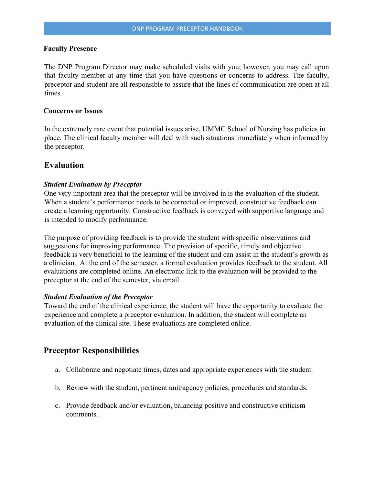#### **Faculty Presence**

The DNP Program Director may make scheduled visits with you; however, you may call upon that faculty member at any time that you have questions or concerns to address. The faculty, preceptor and student are all responsible to assure that the lines of communication are open at all times.

#### **Concerns or Issues**

In the extremely rare event that potential issues arise, UMMC School of Nursing has policies in place. The clinical faculty member will deal with such situations immediately when informed by the preceptor.

#### **Evaluation**

#### *Student Evaluation by Preceptor*

One very important area that the preceptor will be involved in is the evaluation of the student. When a student's performance needs to be corrected or improved, constructive feedback can create a learning opportunity. Constructive feedback is conveyed with supportive language and is intended to modify performance.

The purpose of providing feedback is to provide the student with specific observations and suggestions for improving performance. The provision of specific, timely and objective feedback is very beneficial to the learning of the student and can assist in the student's growth as a clinician. At the end of the semester, a formal evaluation provides feedback to the student. All evaluations are completed online. An electronic link to the evaluation will be provided to the preceptor at the end of the semester, via email.

#### *Student Evaluation of the Preceptor*

Toward the end of the clinical experience, the student will have the opportunity to evaluate the experience and complete a preceptor evaluation. In addition, the student will complete an evaluation of the clinical site. These evaluations are completed online.

#### **Preceptor Responsibilities**

- a. Collaborate and negotiate times, dates and appropriate experiences with the student.
- b. Review with the student, pertinent unit/agency policies, procedures and standards.
- c. Provide feedback and/or evaluation, balancing positive and constructive criticism comments.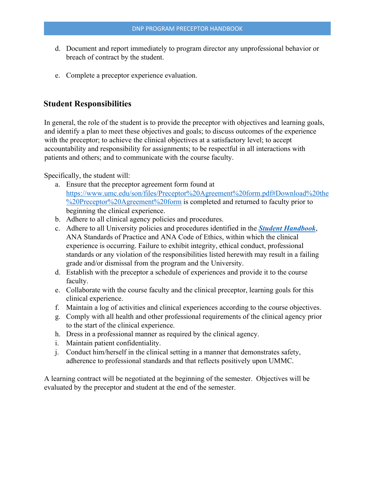- d. Document and report immediately to program director any unprofessional behavior or breach of contract by the student.
- e. Complete a preceptor experience evaluation.

## **Student Responsibilities**

In general, the role of the student is to provide the preceptor with objectives and learning goals, and identify a plan to meet these objectives and goals; to discuss outcomes of the experience with the preceptor; to achieve the clinical objectives at a satisfactory level; to accept accountability and responsibility for assignments; to be respectful in all interactions with patients and others; and to communicate with the course faculty.

Specifically, the student will:

- a. Ensure that the preceptor agreement form found at https://www.umc.edu/son/files/Preceptor%20Agreement%20form.pdf#Download%20the %20Preceptor%20Agreement%20form is completed and returned to faculty prior to beginning the clinical experience.
- b. Adhere to all clinical agency policies and procedures.
- c. Adhere to all University policies and procedures identified in the *Student Handbook*, ANA Standards of Practice and ANA Code of Ethics, within which the clinical experience is occurring. Failure to exhibit integrity, ethical conduct, professional standards or any violation of the responsibilities listed herewith may result in a failing grade and/or dismissal from the program and the University.
- d. Establish with the preceptor a schedule of experiences and provide it to the course faculty.
- e. Collaborate with the course faculty and the clinical preceptor, learning goals for this clinical experience.
- f. Maintain a log of activities and clinical experiences according to the course objectives.
- g. Comply with all health and other professional requirements of the clinical agency prior to the start of the clinical experience.
- h. Dress in a professional manner as required by the clinical agency.
- i. Maintain patient confidentiality.
- j. Conduct him/herself in the clinical setting in a manner that demonstrates safety, adherence to professional standards and that reflects positively upon UMMC.

A learning contract will be negotiated at the beginning of the semester. Objectives will be evaluated by the preceptor and student at the end of the semester.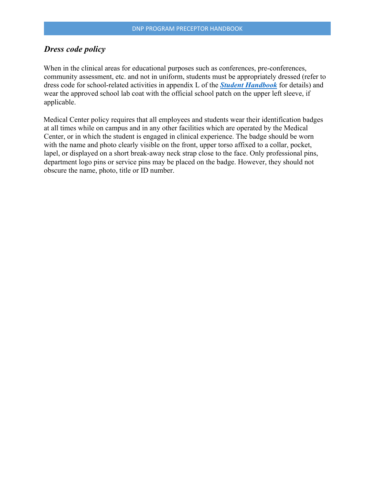## *Dress code policy*

When in the clinical areas for educational purposes such as conferences, pre-conferences, community assessment, etc. and not in uniform, students must be appropriately dressed (refer to dress code for school-related activities in appendix L of the *Student Handbook* for details) and wear the approved school lab coat with the official school patch on the upper left sleeve, if applicable.

Medical Center policy requires that all employees and students wear their identification badges at all times while on campus and in any other facilities which are operated by the Medical Center, or in which the student is engaged in clinical experience. The badge should be worn with the name and photo clearly visible on the front, upper torso affixed to a collar, pocket, lapel, or displayed on a short break-away neck strap close to the face. Only professional pins, department logo pins or service pins may be placed on the badge. However, they should not obscure the name, photo, title or ID number.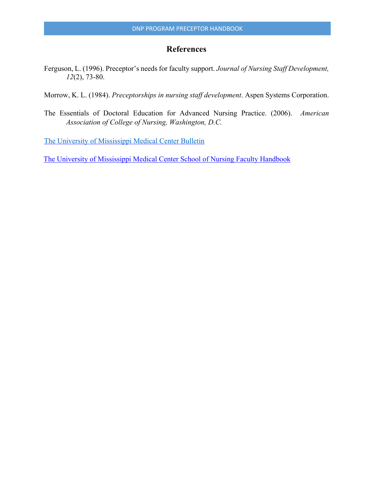## **References**

Ferguson, L. (1996). Preceptor's needs for faculty support. *Journal of Nursing Staff Development, 12*(2), 73-80.

Morrow, K. L. (1984). *Preceptorships in nursing staff development*. Aspen Systems Corporation.

The Essentials of Doctoral Education for Advanced Nursing Practice. (2006). *American Association of College of Nursing, Washington, D.C.*

The University of Mississippi Medical Center Bulletin

The University of Mississippi Medical Center School of Nursing Faculty Handbook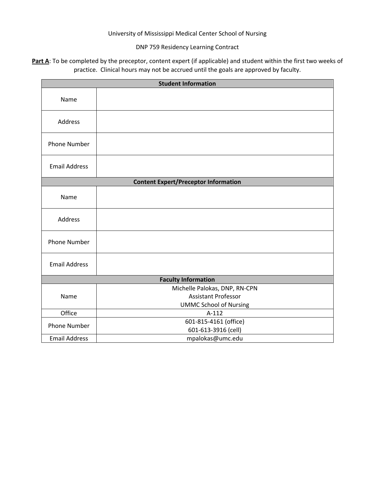#### University of Mississippi Medical Center School of Nursing

#### DNP 759 Residency Learning Contract

Part A: To be completed by the preceptor, content expert (if applicable) and student within the first two weeks of practice. Clinical hours may not be accrued until the goals are approved by faculty.

| <b>Student Information</b>                  |                                          |  |  |  |
|---------------------------------------------|------------------------------------------|--|--|--|
| Name                                        |                                          |  |  |  |
|                                             |                                          |  |  |  |
| Address                                     |                                          |  |  |  |
| <b>Phone Number</b>                         |                                          |  |  |  |
| <b>Email Address</b>                        |                                          |  |  |  |
| <b>Content Expert/Preceptor Information</b> |                                          |  |  |  |
| Name                                        |                                          |  |  |  |
| Address                                     |                                          |  |  |  |
| <b>Phone Number</b>                         |                                          |  |  |  |
| <b>Email Address</b>                        |                                          |  |  |  |
| <b>Faculty Information</b>                  |                                          |  |  |  |
| Name                                        | Michelle Palokas, DNP, RN-CPN            |  |  |  |
|                                             | <b>Assistant Professor</b>               |  |  |  |
| Office                                      | <b>UMMC School of Nursing</b><br>$A-112$ |  |  |  |
| <b>Phone Number</b>                         | 601-815-4161 (office)                    |  |  |  |
|                                             | 601-613-3916 (cell)                      |  |  |  |
| <b>Email Address</b>                        | mpalokas@umc.edu                         |  |  |  |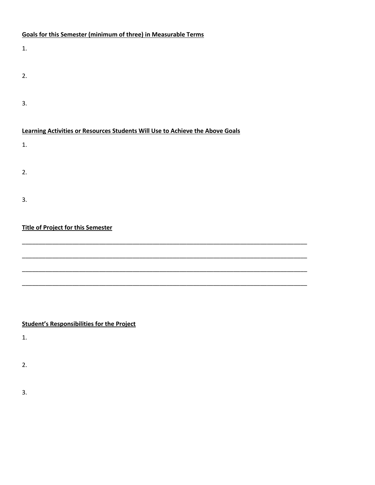### **Goals for this Semester (minimum of three) in Measurable Terms**

| 1.                                                                            |
|-------------------------------------------------------------------------------|
| 2.                                                                            |
| 3.                                                                            |
|                                                                               |
| Learning Activities or Resources Students Will Use to Achieve the Above Goals |
| 1.                                                                            |
| 2.                                                                            |
|                                                                               |
| 3.                                                                            |
| <b>Title of Project for this Semester</b>                                     |
|                                                                               |

\_\_\_\_\_\_\_\_\_\_\_\_\_\_\_\_\_\_\_\_\_\_\_\_\_\_\_\_\_\_\_\_\_\_\_\_\_\_\_\_\_\_\_\_\_\_\_\_\_\_\_\_\_\_\_\_\_\_\_\_\_\_\_\_\_\_\_\_\_\_\_\_\_\_\_\_\_\_\_\_\_\_\_\_\_

\_\_\_\_\_\_\_\_\_\_\_\_\_\_\_\_\_\_\_\_\_\_\_\_\_\_\_\_\_\_\_\_\_\_\_\_\_\_\_\_\_\_\_\_\_\_\_\_\_\_\_\_\_\_\_\_\_\_\_\_\_\_\_\_\_\_\_\_\_\_\_\_\_\_\_\_\_\_\_\_\_\_\_\_\_

\_\_\_\_\_\_\_\_\_\_\_\_\_\_\_\_\_\_\_\_\_\_\_\_\_\_\_\_\_\_\_\_\_\_\_\_\_\_\_\_\_\_\_\_\_\_\_\_\_\_\_\_\_\_\_\_\_\_\_\_\_\_\_\_\_\_\_\_\_\_\_\_\_\_\_\_\_\_\_\_\_\_\_\_\_

### **Student's Responsibilities for the Project**

1.

2.

3.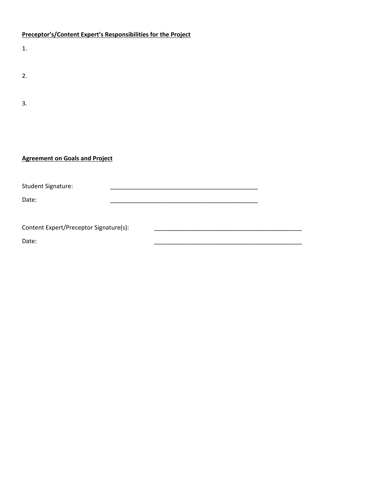#### **Preceptor's/Content Expert's Responsibilities for the Project**

| 1.                                     |  |  |  |  |
|----------------------------------------|--|--|--|--|
|                                        |  |  |  |  |
| 2.                                     |  |  |  |  |
|                                        |  |  |  |  |
|                                        |  |  |  |  |
| 3.                                     |  |  |  |  |
|                                        |  |  |  |  |
|                                        |  |  |  |  |
|                                        |  |  |  |  |
|                                        |  |  |  |  |
| <b>Agreement on Goals and Project</b>  |  |  |  |  |
|                                        |  |  |  |  |
| <b>Student Signature:</b>              |  |  |  |  |
| Date:                                  |  |  |  |  |
|                                        |  |  |  |  |
|                                        |  |  |  |  |
| Content Expert/Preceptor Signature(s): |  |  |  |  |
| Date:                                  |  |  |  |  |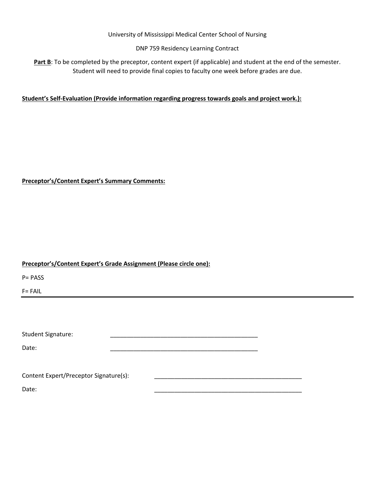#### University of Mississippi Medical Center School of Nursing

#### DNP 759 Residency Learning Contract

Part B: To be completed by the preceptor, content expert (if applicable) and student at the end of the semester. Student will need to provide final copies to faculty one week before grades are due.

#### **Student's Self-Evaluation (Provide information regarding progress towards goals and project work.):**

#### **Preceptor's/Content Expert's Summary Comments:**

#### **Preceptor's/Content Expert's Grade Assignment (Please circle one):**

P= PASS

F= FAIL

| <b>Student Signature:</b>              |  |  |
|----------------------------------------|--|--|
|                                        |  |  |
| Date:                                  |  |  |
|                                        |  |  |
| Content Expert/Preceptor Signature(s): |  |  |
| Date:                                  |  |  |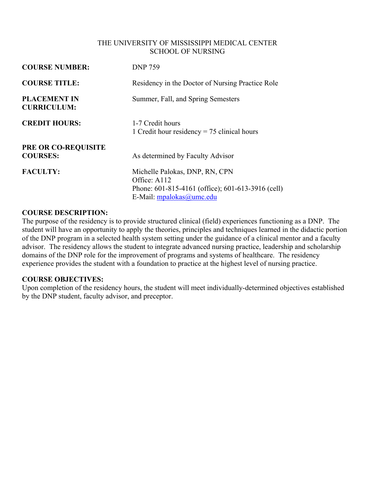#### THE UNIVERSITY OF MISSISSIPPI MEDICAL CENTER SCHOOL OF NURSING

| <b>COURSE NUMBER:</b>                     | <b>DNP 759</b>                                                                                                                  |
|-------------------------------------------|---------------------------------------------------------------------------------------------------------------------------------|
| <b>COURSE TITLE:</b>                      | Residency in the Doctor of Nursing Practice Role                                                                                |
| <b>PLACEMENT IN</b><br><b>CURRICULUM:</b> | Summer, Fall, and Spring Semesters                                                                                              |
| <b>CREDIT HOURS:</b>                      | 1-7 Credit hours<br>1 Credit hour residency $= 75$ clinical hours                                                               |
| PRE OR CO-REQUISITE<br><b>COURSES:</b>    | As determined by Faculty Advisor                                                                                                |
| <b>FACULTY:</b>                           | Michelle Palokas, DNP, RN, CPN<br>Office: A112<br>Phone: 601-815-4161 (office); 601-613-3916 (cell)<br>E-Mail: mpalokas@umc.edu |

#### **COURSE DESCRIPTION:**

The purpose of the residency is to provide structured clinical (field) experiences functioning as a DNP. The student will have an opportunity to apply the theories, principles and techniques learned in the didactic portion of the DNP program in a selected health system setting under the guidance of a clinical mentor and a faculty advisor. The residency allows the student to integrate advanced nursing practice, leadership and scholarship domains of the DNP role for the improvement of programs and systems of healthcare. The residency experience provides the student with a foundation to practice at the highest level of nursing practice.

#### **COURSE OBJECTIVES:**

Upon completion of the residency hours, the student will meet individually-determined objectives established by the DNP student, faculty advisor, and preceptor.